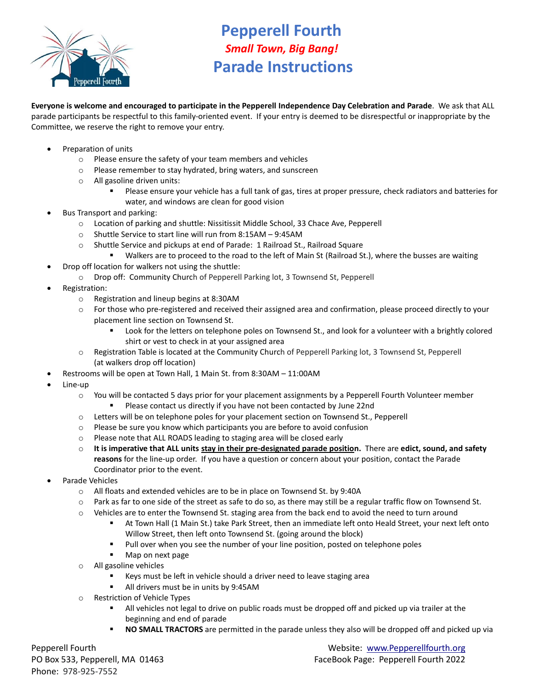

## **Pepperell Fourth** *Small Town, Big Bang!* **Parade Instructions**

**Everyone is welcome and encouraged to participate in the Pepperell Independence Day Celebration and Parade**. We ask that ALL parade participants be respectful to this family-oriented event. If your entry is deemed to be disrespectful or inappropriate by the Committee, we reserve the right to remove your entry.

- Preparation of units
	- o Please ensure the safety of your team members and vehicles
	- o Please remember to stay hydrated, bring waters, and sunscreen
	- o All gasoline driven units:
		- Please ensure your vehicle has a full tank of gas, tires at proper pressure, check radiators and batteries for water, and windows are clean for good vision
- Bus Transport and parking:
	- o Location of parking and shuttle: Nissitissit Middle School, 33 Chace Ave, Pepperell
	- o Shuttle Service to start line will run from 8:15AM 9:45AM
	- o Shuttle Service and pickups at end of Parade: 1 Railroad St., Railroad Square
	- Walkers are to proceed to the road to the left of Main St (Railroad St.), where the busses are waiting
- Drop off location for walkers not using the shuttle:
	- o Drop off: Community Church of Pepperell Parking lot, 3 Townsend St, Pepperell
- Registration:
	- o Registration and lineup begins at 8:30AM
	- o For those who pre-registered and received their assigned area and confirmation, please proceed directly to your placement line section on Townsend St.
		- Look for the letters on telephone poles on Townsend St., and look for a volunteer with a brightly colored shirt or vest to check in at your assigned area
	- o Registration Table is located at the Community Church of Pepperell Parking lot, 3 Townsend St, Pepperell (at walkers drop off location)
- Restrooms will be open at Town Hall, 1 Main St. from 8:30AM 11:00AM
- Line-up
	- o You will be contacted 5 days prior for your placement assignments by a Pepperell Fourth Volunteer member Please contact us directly if you have not been contacted by June 22nd
	- o Letters will be on telephone poles for your placement section on Townsend St., Pepperell
	- $\circ$  Please be sure you know which participants you are before to avoid confusion
	- o Please note that ALL ROADS leading to staging area will be closed early
	- o **It is imperative that ALL units stay in their pre-designated parade position.** There are **edict, sound, and safety reasons** for the line-up order. If you have a question or concern about your position, contact the Parade Coordinator prior to the event.
- Parade Vehicles
	- o All floats and extended vehicles are to be in place on Townsend St. by 9:40A
	- $\circ$  Park as far to one side of the street as safe to do so, as there may still be a regular traffic flow on Townsend St.
	- o Vehicles are to enter the Townsend St. staging area from the back end to avoid the need to turn around
		- At Town Hall (1 Main St.) take Park Street, then an immediate left onto Heald Street, your next left onto Willow Street, then left onto Townsend St. (going around the block)
		- Pull over when you see the number of your line position, posted on telephone poles
		- Map on next page
	- o All gasoline vehicles
		- Keys must be left in vehicle should a driver need to leave staging area
		- All drivers must be in units by 9:45AM
	- o Restriction of Vehicle Types
		- **EXECT** All vehicles not legal to drive on public roads must be dropped off and picked up via trailer at the beginning and end of parade
		- **NO SMALL TRACTORS** are permitted in the parade unless they also will be dropped off and picked up via

Phone: 978-925-7552 Email: pepperellipeperellipeperellipeperellipeperellipeperellipeperellipeperellipeperellipeper